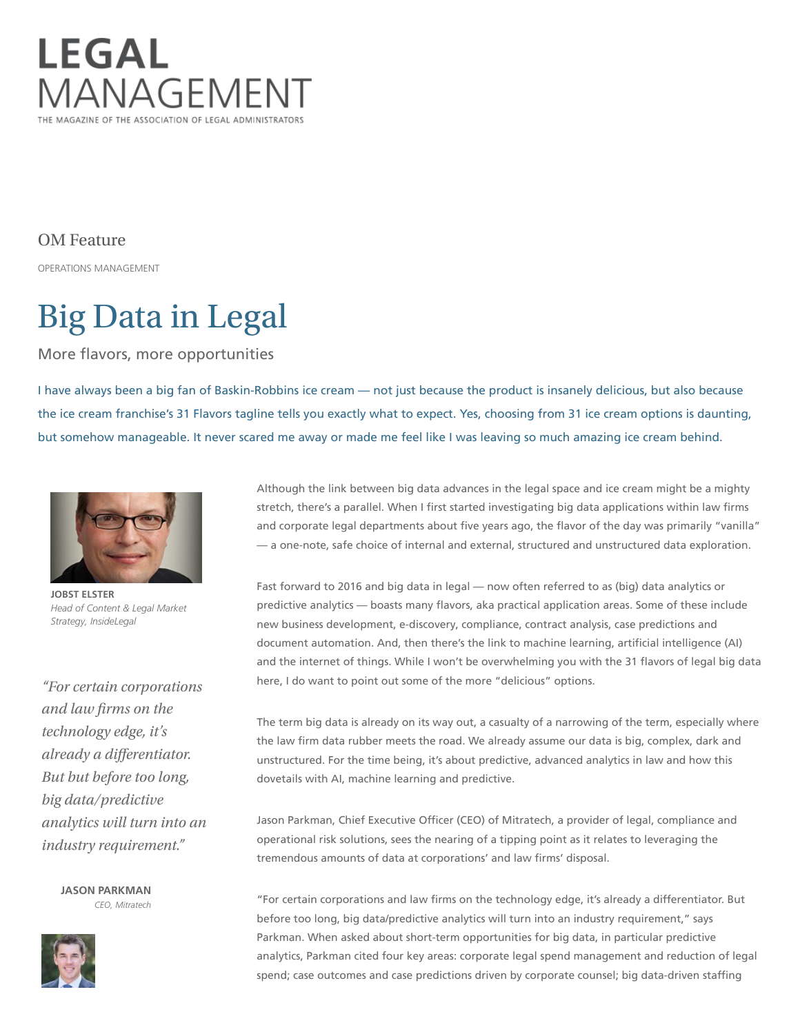

OM Feature

OPERATIONS MANAGEMENT

# Big Data in Legal

More flavors, more opportunities

I have always been a big fan of Baskin-Robbins ice cream — not just because the product is insanely delicious, but also because the ice cream franchise's 31 Flavors tagline tells you exactly what to expect. Yes, choosing from 31 ice cream options is daunting, but somehow manageable. It never scared me away or made me feel like I was leaving so much amazing ice cream behind.



JOBST ELSTER Head of Content & Legal Market Strategy, InsideLegal

"For certain corporations and law firms on the technology edge, it's already a differentiator. But but before too long, big data/predictive analytics will turn into an industry requirement."

> JASON PARKMAN CEO, Mitratech



Although the link between big data advances in the legal space and ice cream might be a mighty stretch, there's a parallel. When I first started investigating big data applications within law firms and corporate legal departments about five years ago, the flavor of the day was primarily "vanilla" — a one‐note, safe choice of internal and external, structured and unstructured data exploration.

Fast forward to 2016 and big data in legal — now often referred to as (big) data analytics or predictive analytics — boasts many flavors, aka practical application areas. Some of these include new business development, e‐discovery, compliance, contract analysis, case predictions and document automation. And, then there's the link to machine learning, artificial intelligence (AI) and the internet of things. While I won't be overwhelming you with the 31 flavors of legal big data here, I do want to point out some of the more "delicious" options.

The term big data is already on its way out, a casualty of a narrowing of the term, especially where the law firm data rubber meets the road. We already assume our data is big, complex, dark and unstructured. For the time being, it's about predictive, advanced analytics in law and how this dovetails with AI, machine learning and predictive.

Jason Parkman, Chief Executive Officer (CEO) of Mitratech, a provider of legal, compliance and operational risk solutions, sees the nearing of a tipping point as it relates to leveraging the tremendous amounts of data at corporations' and law firms' disposal.

"For certain corporations and law firms on the technology edge, it's already a differentiator. But before too long, big data/predictive analytics will turn into an industry requirement," says Parkman. When asked about short‐term opportunities for big data, in particular predictive analytics, Parkman cited four key areas: corporate legal spend management and reduction of legal spend; case outcomes and case predictions driven by corporate counsel; big data-driven staffing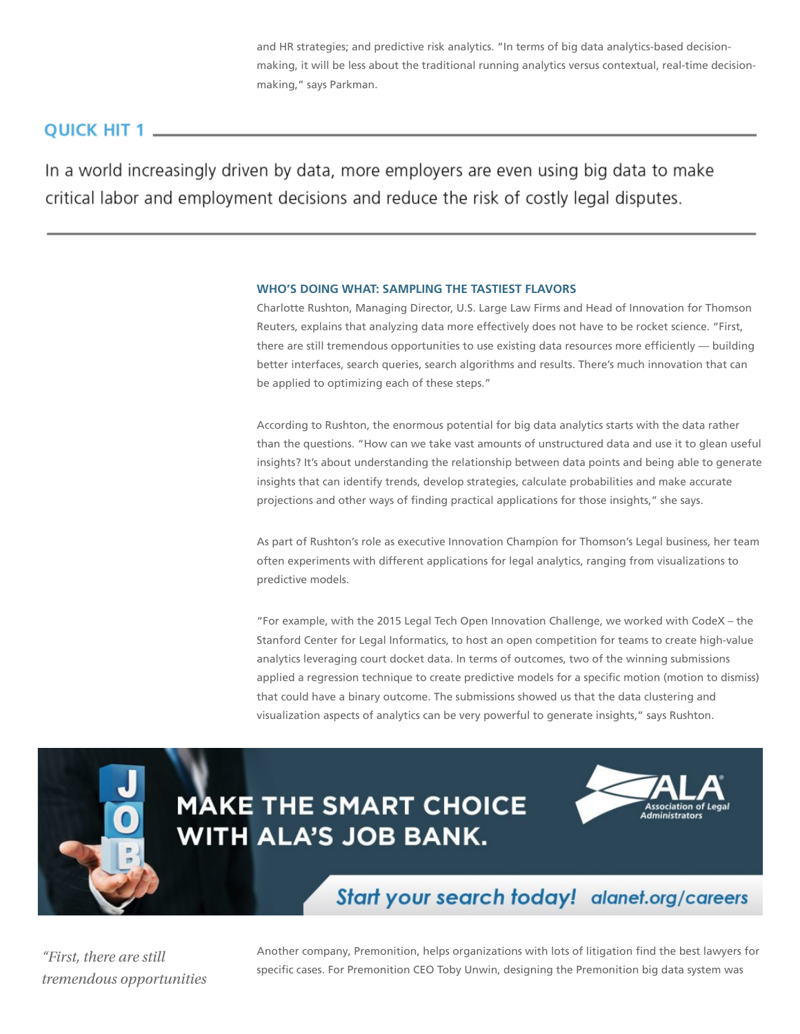and HR strategies; and predictive risk analytics. "In terms of big data analytics-based decisionmaking, it will be less about the traditional running analytics versus contextual, real-time decisionmaking," says Parkman.

## OUICK HIT 1

In a world increasingly driven by data, more employers are even using big data to make critical labor and employment decisions and reduce the risk of costly legal disputes.

### WHO'S DOING WHAT: SAMPLING THE TASTIEST FLAVORS

Charlotte Rushton, Managing Director, U.S. Large Law Firms and Head of Innovation for Thomson Reuters, explains that analyzing data more effectively does not have to be rocket science. "First, there are still tremendous opportunities to use existing data resources more efficiently — building better interfaces, search queries, search algorithms and results. There's much innovation that can be applied to optimizing each of these steps."

According to Rushton, the enormous potential for big data analytics starts with the data rather than the questions. "How can we take vast amounts of unstructured data and use it to glean useful insights? It's about understanding the relationship between data points and being able to generate insights that can identify trends, develop strategies, calculate probabilities and make accurate projections and other ways of finding practical applications for those insights," she says.

As part of Rushton's role as executive Innovation Champion for Thomson's Legal business, her team often experiments with different applications for legal analytics, ranging from visualizations to predictive models.

"For example, with the 2015 Legal Tech Open Innovation Challenge, we worked with CodeX – the Stanford Center for Legal Informatics, to host an open competition for teams to create high‐value analytics leveraging court docket data. In terms of outcomes, two of the winning submissions applied a regression technique to create predictive models for a specific motion (motion to dismiss) that could have a binary outcome. The submissions showed us that the data clustering and visualization aspects of analytics can be very powerful to generate insights," says Rushton.



## **MAKE THE SMART CHOICE WITH ALA'S JOB BANK.**



## Start your search today! alanet.org/careers

"First, there are still tremendous opportunities Another company, Premonition, helps organizations with lots of litigation find the best lawyers for specific cases. For Premonition CEO Toby Unwin, designing the Premonition big data system was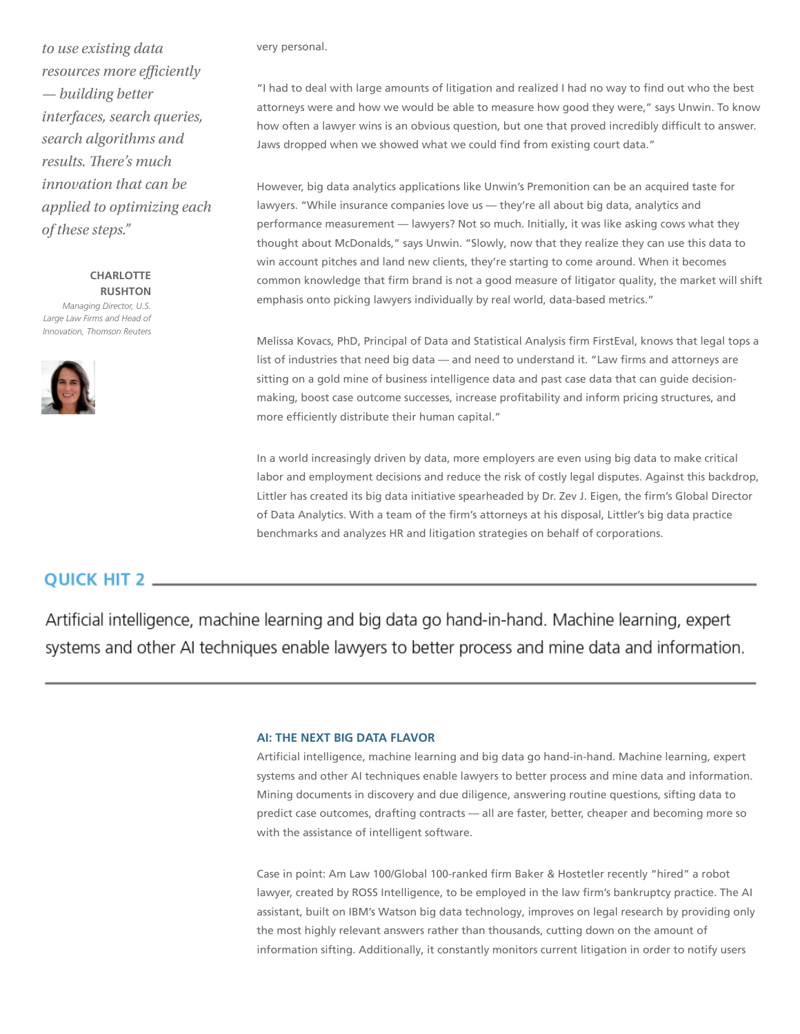to use existing data resources more efficiently — building better interfaces, search queries, search algorithms and results. There's much innovation that can be applied to optimizing each of these steps."

**CHARLOTTE** RUSHTON Managing Director, U.S. Large Law Firms and Head of Innovation, Thomson Reuters



very personal.

"I had to deal with large amounts of litigation and realized I had no way to find out who the best attorneys were and how we would be able to measure how good they were," says Unwin. To know how often a lawyer wins is an obvious question, but one that proved incredibly difficult to answer. Jaws dropped when we showed what we could find from existing court data."

However, big data analytics applications like Unwin's Premonition can be an acquired taste for lawyers. "While insurance companies love us — they're all about big data, analytics and performance measurement — lawyers? Not so much. Initially, it was like asking cows what they thought about McDonalds," says Unwin. "Slowly, now that they realize they can use this data to win account pitches and land new clients, they're starting to come around. When it becomes common knowledge that firm brand is not a good measure of litigator quality, the market will shift emphasis onto picking lawyers individually by real world, data-based metrics."

Melissa Kovacs, PhD, Principal of Data and Statistical Analysis firm FirstEval, knows that legal tops a list of industries that need big data — and need to understand it. "Law firms and attorneys are sitting on a gold mine of business intelligence data and past case data that can quide decisionmaking, boost case outcome successes, increase profitability and inform pricing structures, and more efficiently distribute their human capital."

In a world increasingly driven by data, more employers are even using big data to make critical labor and employment decisions and reduce the risk of costly legal disputes. Against this backdrop, Littler has created its big data initiative spearheaded by Dr. Zev J. Eigen, the firm's Global Director of Data Analytics. With a team of the firm's attorneys at his disposal, Littler's big data practice benchmarks and analyzes HR and litigation strategies on behalf of corporations.

## **QUICK HIT 2.**

Artificial intelligence, machine learning and big data go hand-in-hand. Machine learning, expert systems and other AI techniques enable lawyers to better process and mine data and information.

#### AI: THE NEXT BIG DATA FLAVOR

Artificial intelligence, machine learning and big data go hand‐in‐hand. Machine learning, expert systems and other AI techniques enable lawyers to better process and mine data and information. Mining documents in discovery and due diligence, answering routine questions, sifting data to predict case outcomes, drafting contracts — all are faster, better, cheaper and becoming more so with the assistance of intelligent software.

Case in point: Am Law 100/Global 100‐ranked firm Baker & Hostetler recently "hired" a robot lawyer, created by ROSS Intelligence, to be employed in the law firm's bankruptcy practice. The AI assistant, built on IBM's Watson big data technology, improves on legal research by providing only the most highly relevant answers rather than thousands, cutting down on the amount of information sifting. Additionally, it constantly monitors current litigation in order to notify users